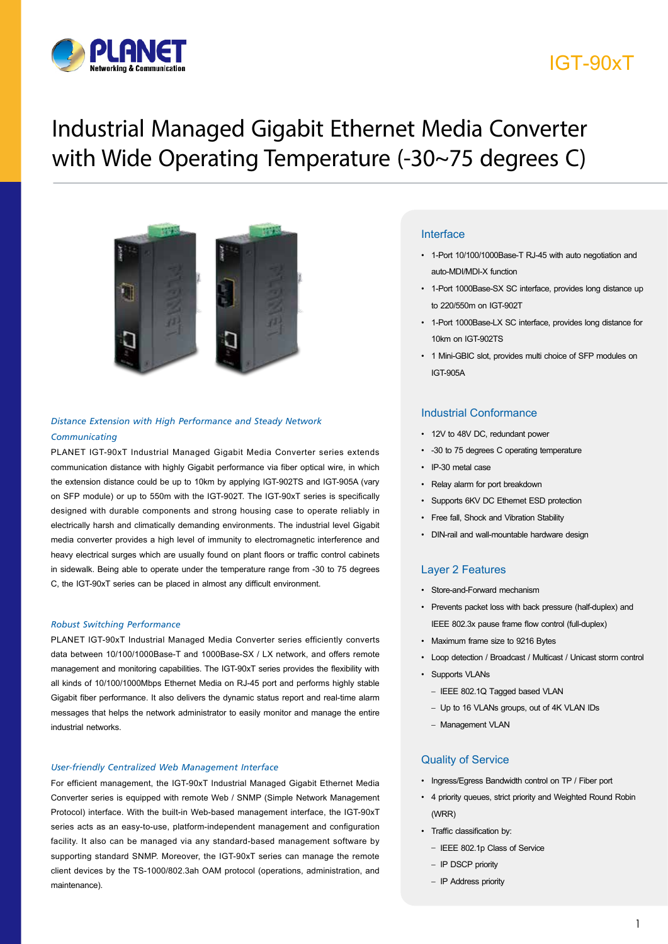

## IGT-90xT

## Industrial Managed Gigabit Ethernet Media Converter with Wide Operating Temperature (-30~75 degrees C)



### *Distance Extension with High Performance and Steady Network Communicating*

PLANET IGT-90xT Industrial Managed Gigabit Media Converter series extends communication distance with highly Gigabit performance via fiber optical wire, in which the extension distance could be up to 10km by applying IGT-902TS and IGT-905A (vary on SFP module) or up to 550m with the IGT-902T. The IGT-90xT series is specifically designed with durable components and strong housing case to operate reliably in electrically harsh and climatically demanding environments. The industrial level Gigabit media converter provides a high level of immunity to electromagnetic interference and heavy electrical surges which are usually found on plant floors or traffic control cabinets in sidewalk. Being able to operate under the temperature range from -30 to 75 degrees C, the IGT-90xT series can be placed in almost any difficult environment.

### *Robust Switching Performance*

PLANET IGT-90xT Industrial Managed Media Converter series efficiently converts data between 10/100/1000Base-T and 1000Base-SX / LX network, and offers remote management and monitoring capabilities. The IGT-90xT series provides the flexibility with all kinds of 10/100/1000Mbps Ethernet Media on RJ-45 port and performs highly stable Gigabit fiber performance. It also delivers the dynamic status report and real-time alarm messages that helps the network administrator to easily monitor and manage the entire industrial networks.

### *User-friendly Centralized Web Management Interface*

Data Sheet For efficient management, the IGT-90xT Industrial Managed Gigabit Ethernet Media Converter series is equipped with remote Web / SNMP (Simple Network Management Protocol) interface. With the built-in Web-based management interface, the IGT-90xT series acts as an easy-to-use, platform-independent management and configuration facility. It also can be managed via any standard-based management software by supporting standard SNMP. Moreover, the IGT-90xT series can manage the remote client devices by the TS-1000/802.3ah OAM protocol (operations, administration, and maintenance).

### **Interface**

- 1-Port 10/100/1000Base-T RJ-45 with auto negotiation and auto-MDI/MDI-X function
- 1-Port 1000Base-SX SC interface, provides long distance up to 220/550m on IGT-902T
- 1-Port 1000Base-LX SC interface, provides long distance for 10km on IGT-902TS
- 1 Mini-GBIC slot, provides multi choice of SFP modules on IGT-905A

### Industrial Conformance

- 12V to 48V DC, redundant power
- -30 to 75 degrees C operating temperature
- IP-30 metal case
- Relay alarm for port breakdown
- Supports 6KV DC Ethernet ESD protection
- Free fall, Shock and Vibration Stability
- DIN-rail and wall-mountable hardware design

### Layer 2 Features

- Store-and-Forward mechanism
- Prevents packet loss with back pressure (half-duplex) and IEEE 802.3x pause frame flow control (full-duplex)
- Maximum frame size to 9216 Bytes
- Loop detection / Broadcast / Multicast / Unicast storm control
- Supports VLANs
	- IEEE 802.1Q Tagged based VLAN
	- Up to 16 VLANs groups, out of 4K VLAN IDs
	- Management VLAN

### Quality of Service

- Ingress/Egress Bandwidth control on TP / Fiber port
- 4 priority queues, strict priority and Weighted Round Robin (WRR)
- Traffic classification by:
	- IEEE 802.1p Class of Service
	- IP DSCP priority
	- IP Address priority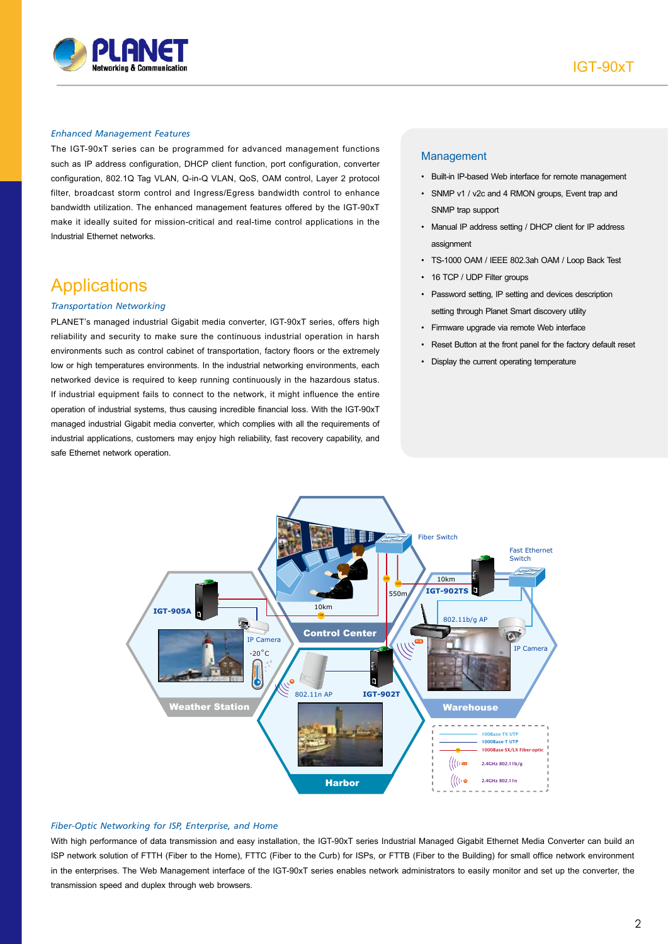

#### *Enhanced Management Features*

The IGT-90xT series can be programmed for advanced management functions such as IP address configuration, DHCP client function, port configuration, converter configuration, 802.1Q Tag VLAN, Q-in-Q VLAN, QoS, OAM control, Layer 2 protocol filter, broadcast storm control and Ingress/Egress bandwidth control to enhance bandwidth utilization. The enhanced management features offered by the IGT-90xT make it ideally suited for mission-critical and real-time control applications in the Industrial Ethernet networks.

### **Applications**

### *Transportation Networking*

PLANET's managed industrial Gigabit media converter, IGT-90xT series, offers high reliability and security to make sure the continuous industrial operation in harsh environments such as control cabinet of transportation, factory floors or the extremely low or high temperatures environments. In the industrial networking environments, each networked device is required to keep running continuously in the hazardous status. If industrial equipment fails to connect to the network, it might influence the entire operation of industrial systems, thus causing incredible financial loss. With the IGT-90xT managed industrial Gigabit media converter, which complies with all the requirements of industrial applications, customers may enjoy high reliability, fast recovery capability, and safe Ethernet network operation.

### Management

- Built-in IP-based Web interface for remote management
- SNMP v1 / v2c and 4 RMON groups, Event trap and SNMP trap support
- Manual IP address setting / DHCP client for IP address assignment
- TS-1000 OAM / IEEE 802.3ah OAM / Loop Back Test
- 16 TCP / UDP Filter groups
- Password setting, IP setting and devices description setting through Planet Smart discovery utility
- Firmware upgrade via remote Web interface
- Reset Button at the front panel for the factory default reset
- Display the current operating temperature



#### *Fiber-Optic Networking for ISP, Enterprise, and Home*

With high performance of data transmission and easy installation, the IGT-90xT series Industrial Managed Gigabit Ethernet Media Converter can build an ISP network solution of FTTH (Fiber to the Home), FTTC (Fiber to the Curb) for ISPs, or FTTB (Fiber to the Building) for small office network environment in the enterprises. The Web Management interface of the IGT-90xT series enables network administrators to easily monitor and set up the converter, the transmission speed and duplex through web browsers.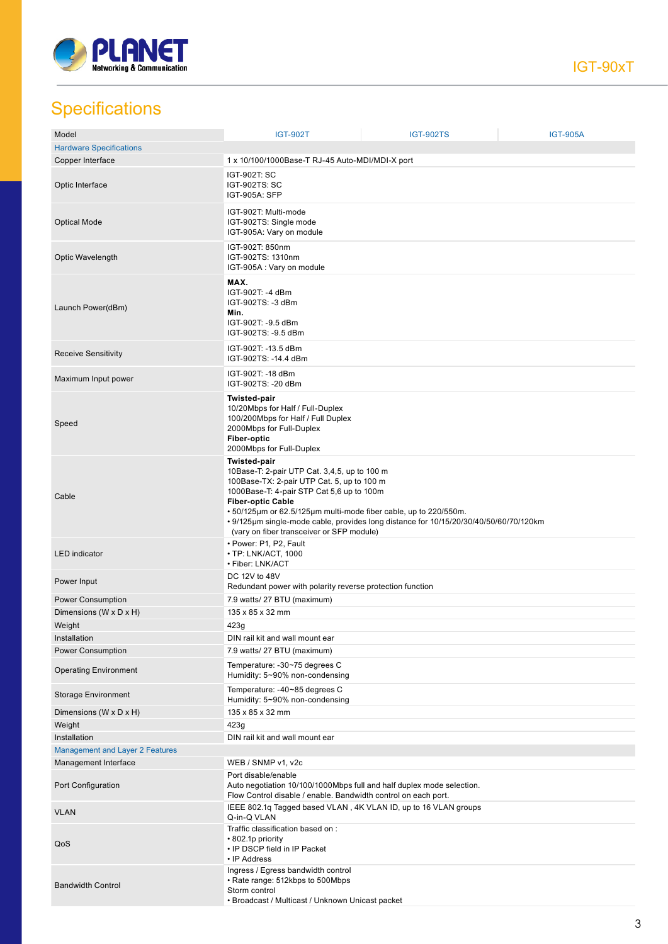

## **Specifications**

| Model                                  | <b>IGT-902T</b>                                                                                                                                                                                                                                                                                             | <b>IGT-902TS</b>                                                                      | <b>IGT-905A</b> |
|----------------------------------------|-------------------------------------------------------------------------------------------------------------------------------------------------------------------------------------------------------------------------------------------------------------------------------------------------------------|---------------------------------------------------------------------------------------|-----------------|
| <b>Hardware Specifications</b>         |                                                                                                                                                                                                                                                                                                             |                                                                                       |                 |
| Copper Interface                       | 1 x 10/100/1000Base-T RJ-45 Auto-MDI/MDI-X port                                                                                                                                                                                                                                                             |                                                                                       |                 |
| Optic Interface                        | IGT-902T: SC<br>IGT-902TS: SC<br>IGT-905A: SFP                                                                                                                                                                                                                                                              |                                                                                       |                 |
| <b>Optical Mode</b>                    | IGT-902T: Multi-mode<br>IGT-902TS: Single mode<br>IGT-905A: Vary on module                                                                                                                                                                                                                                  |                                                                                       |                 |
| Optic Wavelength                       | IGT-902T: 850nm<br>IGT-902TS: 1310nm<br>IGT-905A : Vary on module                                                                                                                                                                                                                                           |                                                                                       |                 |
| Launch Power(dBm)                      | MAX.<br>IGT-902T: -4 dBm<br>IGT-902TS: -3 dBm<br>Min.<br>IGT-902T: -9.5 dBm<br>IGT-902TS: -9.5 dBm                                                                                                                                                                                                          |                                                                                       |                 |
| <b>Receive Sensitivity</b>             | IGT-902T: -13.5 dBm<br>IGT-902TS: -14.4 dBm                                                                                                                                                                                                                                                                 |                                                                                       |                 |
| Maximum Input power                    | IGT-902T: -18 dBm<br>IGT-902TS: -20 dBm                                                                                                                                                                                                                                                                     |                                                                                       |                 |
| Speed                                  | Twisted-pair<br>10/20Mbps for Half / Full-Duplex<br>100/200Mbps for Half / Full Duplex<br>2000Mbps for Full-Duplex<br><b>Fiber-optic</b><br>2000Mbps for Full-Duplex                                                                                                                                        |                                                                                       |                 |
| Cable                                  | <b>Twisted-pair</b><br>10Base-T: 2-pair UTP Cat. 3,4,5, up to 100 m<br>100Base-TX: 2-pair UTP Cat. 5, up to 100 m<br>1000Base-T: 4-pair STP Cat 5,6 up to 100m<br><b>Fiber-optic Cable</b><br>• 50/125µm or 62.5/125µm multi-mode fiber cable, up to 220/550m.<br>(vary on fiber transceiver or SFP module) | • 9/125µm single-mode cable, provides long distance for 10/15/20/30/40/50/60/70/120km |                 |
| <b>LED</b> indicator                   | • Power: P1, P2, Fault<br>• TP: LNK/ACT, 1000<br>• Fiber: LNK/ACT                                                                                                                                                                                                                                           |                                                                                       |                 |
| Power Input                            | DC 12V to 48V<br>Redundant power with polarity reverse protection function                                                                                                                                                                                                                                  |                                                                                       |                 |
| Power Consumption                      | 7.9 watts/ 27 BTU (maximum)                                                                                                                                                                                                                                                                                 |                                                                                       |                 |
| Dimensions (W x D x H)                 | 135 x 85 x 32 mm                                                                                                                                                                                                                                                                                            |                                                                                       |                 |
| Weight                                 | 423g                                                                                                                                                                                                                                                                                                        |                                                                                       |                 |
| Installation                           | DIN rail kit and wall mount ear                                                                                                                                                                                                                                                                             |                                                                                       |                 |
| <b>Power Consumption</b>               | 7.9 watts/ 27 BTU (maximum)                                                                                                                                                                                                                                                                                 |                                                                                       |                 |
| <b>Operating Environment</b>           | Temperature: -30~75 degrees C<br>Humidity: 5~90% non-condensing                                                                                                                                                                                                                                             |                                                                                       |                 |
| Storage Environment                    | Temperature: -40~85 degrees C<br>Humidity: 5~90% non-condensing                                                                                                                                                                                                                                             |                                                                                       |                 |
| Dimensions (W x D x H)                 | 135 x 85 x 32 mm                                                                                                                                                                                                                                                                                            |                                                                                       |                 |
| Weight                                 | 423g                                                                                                                                                                                                                                                                                                        |                                                                                       |                 |
| Installation                           | DIN rail kit and wall mount ear                                                                                                                                                                                                                                                                             |                                                                                       |                 |
| <b>Management and Layer 2 Features</b> |                                                                                                                                                                                                                                                                                                             |                                                                                       |                 |
| Management Interface                   | WEB / SNMP v1, v2c                                                                                                                                                                                                                                                                                          |                                                                                       |                 |
| Port Configuration                     | Port disable/enable<br>Auto negotiation 10/100/1000Mbps full and half duplex mode selection.<br>Flow Control disable / enable. Bandwidth control on each port.                                                                                                                                              |                                                                                       |                 |
| <b>VLAN</b>                            | IEEE 802.1q Tagged based VLAN, 4K VLAN ID, up to 16 VLAN groups<br>Q-in-Q VLAN                                                                                                                                                                                                                              |                                                                                       |                 |
| QoS                                    | Traffic classification based on :<br>• 802.1p priority<br>• IP DSCP field in IP Packet<br>• IP Address                                                                                                                                                                                                      |                                                                                       |                 |
| <b>Bandwidth Control</b>               | Ingress / Egress bandwidth control<br>• Rate range: 512kbps to 500Mbps<br>Storm control<br>• Broadcast / Multicast / Unknown Unicast packet                                                                                                                                                                 |                                                                                       |                 |